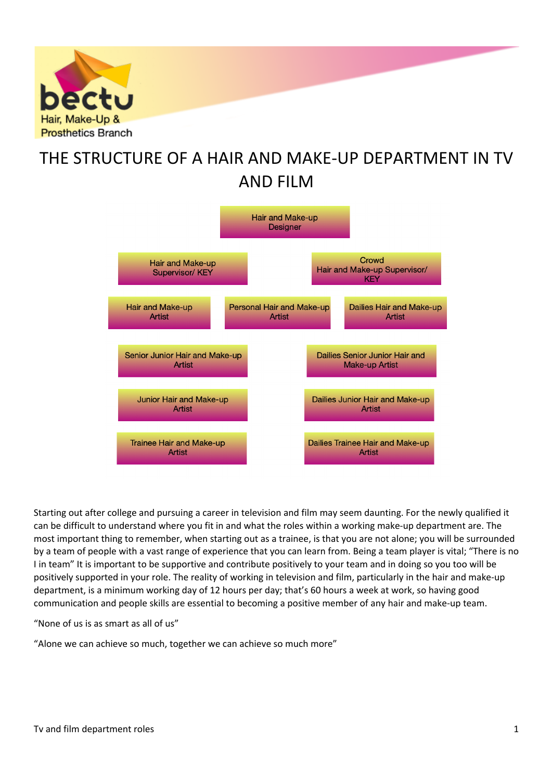

# THE STRUCTURE OF A HAIR AND MAKE-UP DEPARTMENT IN TV AND FILM



Starting out after college and pursuing a career in television and film may seem daunting. For the newly qualified it can be difficult to understand where you fit in and what the roles within a working make-up department are. The most important thing to remember, when starting out as a trainee, is that you are not alone; you will be surrounded by a team of people with a vast range of experience that you can learn from. Being a team player is vital; "There is no I in team" It is important to be supportive and contribute positively to your team and in doing so you too will be positively supported in your role. The reality of working in television and film, particularly in the hair and make-up department, is a minimum working day of 12 hours per day; that's 60 hours a week at work, so having good communication and people skills are essential to becoming a positive member of any hair and make-up team.

"None of us is as smart as all of us"

"Alone we can achieve so much, together we can achieve so much more"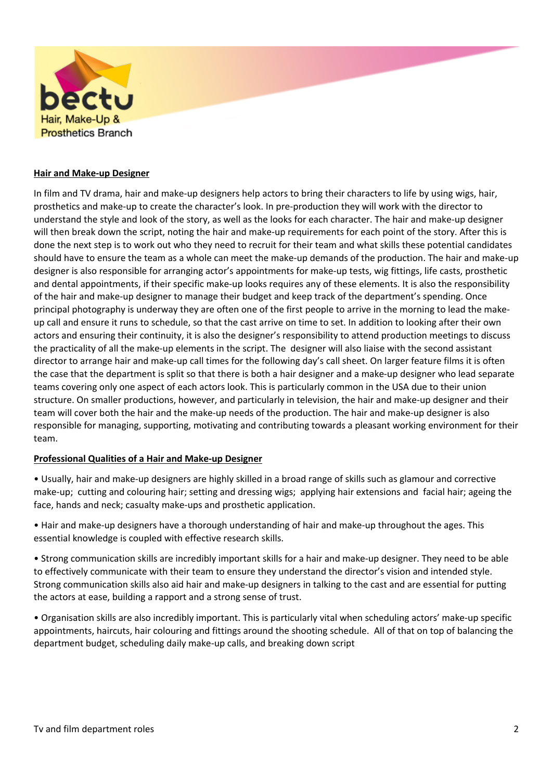

#### **Hair and Make-up Designer**

In film and TV drama, hair and make-up designers help actors to bring their characters to life by using wigs, hair, prosthetics and make-up to create the character's look. In pre-production they will work with the director to understand the style and look of the story, as well as the looks for each character. The hair and make-up designer will then break down the script, noting the hair and make-up requirements for each point of the story. After this is done the next step is to work out who they need to recruit for their team and what skills these potential candidates should have to ensure the team as a whole can meet the make-up demands of the production. The hair and make-up designer is also responsible for arranging actor's appointments for make-up tests, wig fittings, life casts, prosthetic and dental appointments, if their specific make-up looks requires any of these elements. It is also the responsibility of the hair and make-up designer to manage their budget and keep track of the department's spending. Once principal photography is underway they are often one of the first people to arrive in the morning to lead the makeup call and ensure it runs to schedule, so that the cast arrive on time to set. In addition to looking after their own actors and ensuring their continuity, it is also the designer's responsibility to attend production meetings to discuss the practicality of all the make-up elements in the script. The designer will also liaise with the second assistant director to arrange hair and make-up call times for the following day's call sheet. On larger feature films it is often the case that the department is split so that there is both a hair designer and a make-up designer who lead separate teams covering only one aspect of each actors look. This is particularly common in the USA due to their union structure. On smaller productions, however, and particularly in television, the hair and make-up designer and their team will cover both the hair and the make-up needs of the production. The hair and make-up designer is also responsible for managing, supporting, motivating and contributing towards a pleasant working environment for their team.

#### **Professional Qualities of a Hair and Make-up Designer**

• Usually, hair and make-up designers are highly skilled in a broad range of skills such as glamour and corrective make-up; cutting and colouring hair; setting and dressing wigs; applying hair extensions and facial hair; ageing the face, hands and neck; casualty make-ups and prosthetic application.

• Hair and make-up designers have a thorough understanding of hair and make-up throughout the ages. This essential knowledge is coupled with effective research skills.

• Strong communication skills are incredibly important skills for a hair and make-up designer. They need to be able to effectively communicate with their team to ensure they understand the director's vision and intended style. Strong communication skills also aid hair and make-up designers in talking to the cast and are essential for putting the actors at ease, building a rapport and a strong sense of trust.

• Organisation skills are also incredibly important. This is particularly vital when scheduling actors' make-up specific appointments, haircuts, hair colouring and fittings around the shooting schedule. All of that on top of balancing the department budget, scheduling daily make-up calls, and breaking down script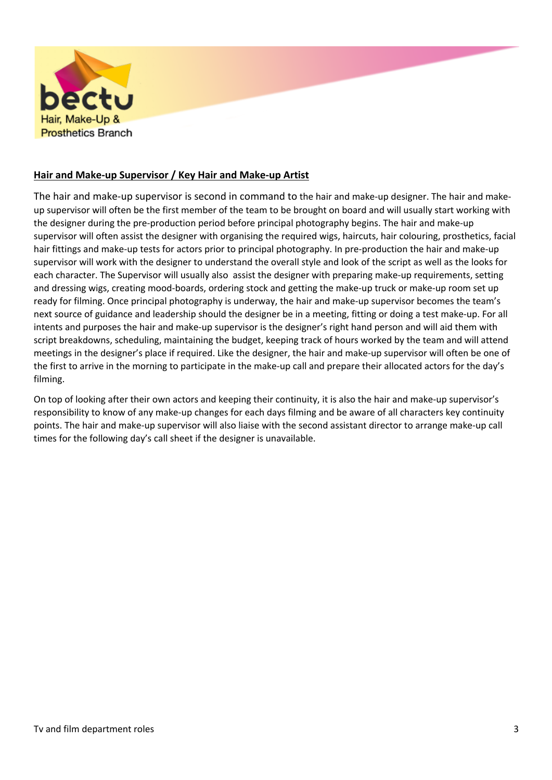

# **Hair and Make-up Supervisor / Key Hair and Make-up Artist**

The hair and make-up supervisor is second in command to the hair and make-up designer. The hair and makeup supervisor will often be the first member of the team to be brought on board and will usually start working with the designer during the pre-production period before principal photography begins. The hair and make-up supervisor will often assist the designer with organising the required wigs, haircuts, hair colouring, prosthetics, facial hair fittings and make-up tests for actors prior to principal photography. In pre-production the hair and make-up supervisor will work with the designer to understand the overall style and look of the script as well as the looks for each character. The Supervisor will usually also assist the designer with preparing make-up requirements, setting and dressing wigs, creating mood-boards, ordering stock and getting the make-up truck or make-up room set up ready for filming. Once principal photography is underway, the hair and make-up supervisor becomes the team's next source of guidance and leadership should the designer be in a meeting, fitting or doing a test make-up. For all intents and purposes the hair and make-up supervisor is the designer's right hand person and will aid them with script breakdowns, scheduling, maintaining the budget, keeping track of hours worked by the team and will attend meetings in the designer's place if required. Like the designer, the hair and make-up supervisor will often be one of the first to arrive in the morning to participate in the make-up call and prepare their allocated actors for the day's filming.

On top of looking after their own actors and keeping their continuity, it is also the hair and make-up supervisor's responsibility to know of any make-up changes for each days filming and be aware of all characters key continuity points. The hair and make-up supervisor will also liaise with the second assistant director to arrange make-up call times for the following day's call sheet if the designer is unavailable.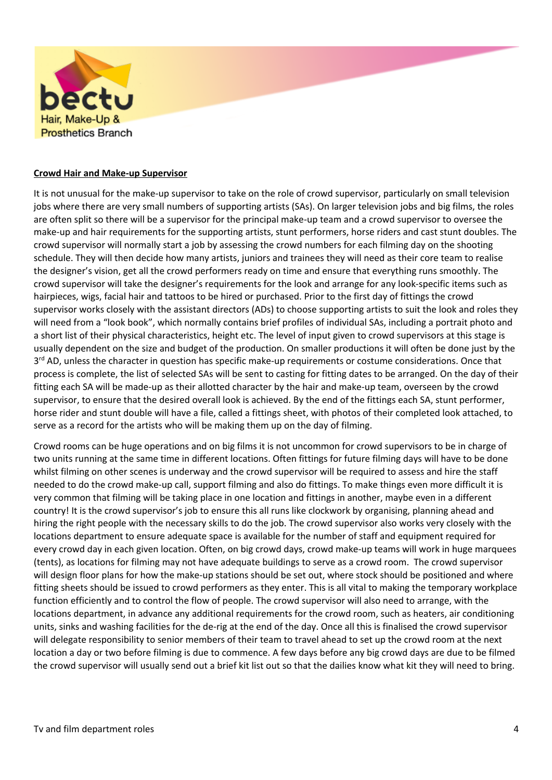

### **Crowd Hair and Make-up Supervisor**

It is not unusual for the make-up supervisor to take on the role of crowd supervisor, particularly on small television jobs where there are very small numbers of supporting artists (SAs). On larger television jobs and big films, the roles are often split so there will be a supervisor for the principal make-up team and a crowd supervisor to oversee the make-up and hair requirements for the supporting artists, stunt performers, horse riders and cast stunt doubles. The crowd supervisor will normally start a job by assessing the crowd numbers for each filming day on the shooting schedule. They will then decide how many artists, juniors and trainees they will need as their core team to realise the designer's vision, get all the crowd performers ready on time and ensure that everything runs smoothly. The crowd supervisor will take the designer's requirements for the look and arrange for any look-specific items such as hairpieces, wigs, facial hair and tattoos to be hired or purchased. Prior to the first day of fittings the crowd supervisor works closely with the assistant directors (ADs) to choose supporting artists to suit the look and roles they will need from a "look book", which normally contains brief profiles of individual SAs, including a portrait photo and a short list of their physical characteristics, height etc. The level of input given to crowd supervisors at this stage is usually dependent on the size and budget of the production. On smaller productions it will often be done just by the 3<sup>rd</sup> AD, unless the character in question has specific make-up requirements or costume considerations. Once that process is complete, the list of selected SAs will be sent to casting for fitting dates to be arranged. On the day of their fitting each SA will be made-up as their allotted character by the hair and make-up team, overseen by the crowd supervisor, to ensure that the desired overall look is achieved. By the end of the fittings each SA, stunt performer, horse rider and stunt double will have a file, called a fittings sheet, with photos of their completed look attached, to serve as a record for the artists who will be making them up on the day of filming.

Crowd rooms can be huge operations and on big films it is not uncommon for crowd supervisors to be in charge of two units running at the same time in different locations. Often fittings for future filming days will have to be done whilst filming on other scenes is underway and the crowd supervisor will be required to assess and hire the staff needed to do the crowd make-up call, support filming and also do fittings. To make things even more difficult it is very common that filming will be taking place in one location and fittings in another, maybe even in a different country! It is the crowd supervisor's job to ensure this all runs like clockwork by organising, planning ahead and hiring the right people with the necessary skills to do the job. The crowd supervisor also works very closely with the locations department to ensure adequate space is available for the number of staff and equipment required for every crowd day in each given location. Often, on big crowd days, crowd make-up teams will work in huge marquees (tents), as locations for filming may not have adequate buildings to serve as a crowd room. The crowd supervisor will design floor plans for how the make-up stations should be set out, where stock should be positioned and where fitting sheets should be issued to crowd performers as they enter. This is all vital to making the temporary workplace function efficiently and to control the flow of people. The crowd supervisor will also need to arrange, with the locations department, in advance any additional requirements for the crowd room, such as heaters, air conditioning units, sinks and washing facilities for the de-rig at the end of the day. Once all this is finalised the crowd supervisor will delegate responsibility to senior members of their team to travel ahead to set up the crowd room at the next location a day or two before filming is due to commence. A few days before any big crowd days are due to be filmed the crowd supervisor will usually send out a brief kit list out so that the dailies know what kit they will need to bring.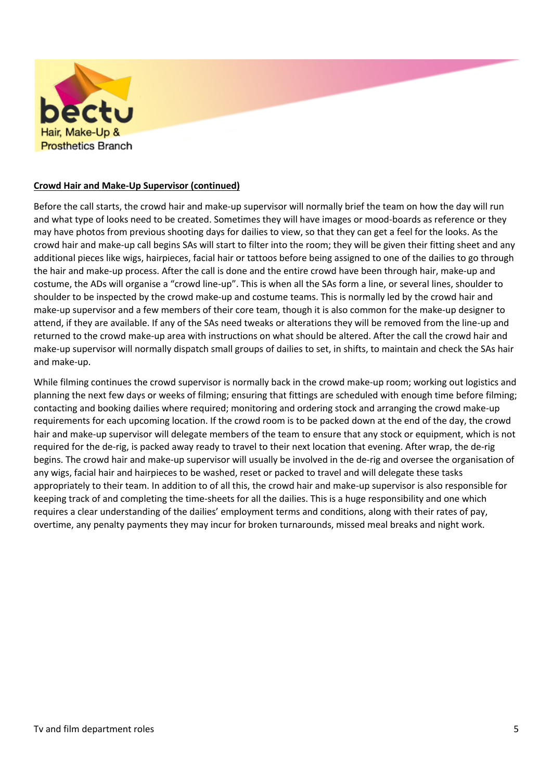

# **Crowd Hair and Make-Up Supervisor (continued)**

Before the call starts, the crowd hair and make-up supervisor will normally brief the team on how the day will run and what type of looks need to be created. Sometimes they will have images or mood-boards as reference or they may have photos from previous shooting days for dailies to view, so that they can get a feel for the looks. As the crowd hair and make-up call begins SAs will start to filter into the room; they will be given their fitting sheet and any additional pieces like wigs, hairpieces, facial hair or tattoos before being assigned to one of the dailies to go through the hair and make-up process. After the call is done and the entire crowd have been through hair, make-up and costume, the ADs will organise a "crowd line-up". This is when all the SAs form a line, or several lines, shoulder to shoulder to be inspected by the crowd make-up and costume teams. This is normally led by the crowd hair and make-up supervisor and a few members of their core team, though it is also common for the make-up designer to attend, if they are available. If any of the SAs need tweaks or alterations they will be removed from the line-up and returned to the crowd make-up area with instructions on what should be altered. After the call the crowd hair and make-up supervisor will normally dispatch small groups of dailies to set, in shifts, to maintain and check the SAs hair and make-up.

While filming continues the crowd supervisor is normally back in the crowd make-up room; working out logistics and planning the next few days or weeks of filming; ensuring that fittings are scheduled with enough time before filming; contacting and booking dailies where required; monitoring and ordering stock and arranging the crowd make-up requirements for each upcoming location. If the crowd room is to be packed down at the end of the day, the crowd hair and make-up supervisor will delegate members of the team to ensure that any stock or equipment, which is not required for the de-rig, is packed away ready to travel to their next location that evening. After wrap, the de-rig begins. The crowd hair and make-up supervisor will usually be involved in the de-rig and oversee the organisation of any wigs, facial hair and hairpieces to be washed, reset or packed to travel and will delegate these tasks appropriately to their team. In addition to of all this, the crowd hair and make-up supervisor is also responsible for keeping track of and completing the time-sheets for all the dailies. This is a huge responsibility and one which requires a clear understanding of the dailies' employment terms and conditions, along with their rates of pay, overtime, any penalty payments they may incur for broken turnarounds, missed meal breaks and night work.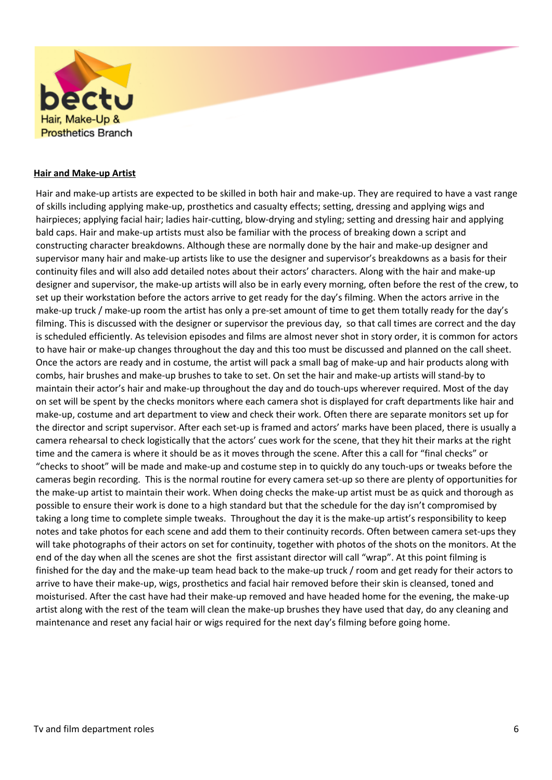

#### **Hair and Make-up Artist**

Hair and make-up artists are expected to be skilled in both hair and make-up. They are required to have a vast range of skills including applying make-up, prosthetics and casualty effects; setting, dressing and applying wigs and hairpieces; applying facial hair; ladies hair-cutting, blow-drying and styling; setting and dressing hair and applying bald caps. Hair and make-up artists must also be familiar with the process of breaking down a script and constructing character breakdowns. Although these are normally done by the hair and make-up designer and supervisor many hair and make-up artists like to use the designer and supervisor's breakdowns as a basis for their continuity files and will also add detailed notes about their actors' characters. Along with the hair and make-up designer and supervisor, the make-up artists will also be in early every morning, often before the rest of the crew, to set up their workstation before the actors arrive to get ready for the day's filming. When the actors arrive in the make-up truck / make-up room the artist has only a pre-set amount of time to get them totally ready for the day's filming. This is discussed with the designer or supervisor the previous day, so that call times are correct and the day is scheduled efficiently. As television episodes and films are almost never shot in story order, it is common for actors to have hair or make-up changes throughout the day and this too must be discussed and planned on the call sheet. Once the actors are ready and in costume, the artist will pack a small bag of make-up and hair products along with combs, hair brushes and make-up brushes to take to set. On set the hair and make-up artists will stand-by to maintain their actor's hair and make-up throughout the day and do touch-ups wherever required. Most of the day on set will be spent by the checks monitors where each camera shot is displayed for craft departments like hair and make-up, costume and art department to view and check their work. Often there are separate monitors set up for the director and script supervisor. After each set-up is framed and actors' marks have been placed, there is usually a camera rehearsal to check logistically that the actors' cues work for the scene, that they hit their marks at the right time and the camera is where it should be as it moves through the scene. After this a call for "final checks" or "checks to shoot" will be made and make-up and costume step in to quickly do any touch-ups or tweaks before the cameras begin recording. This is the normal routine for every camera set-up so there are plenty of opportunities for the make-up artist to maintain their work. When doing checks the make-up artist must be as quick and thorough as possible to ensure their work is done to a high standard but that the schedule for the day isn't compromised by taking a long time to complete simple tweaks. Throughout the day it is the make-up artist's responsibility to keep notes and take photos for each scene and add them to their continuity records. Often between camera set-ups they will take photographs of their actors on set for continuity, together with photos of the shots on the monitors. At the end of the day when all the scenes are shot the first assistant director will call "wrap". At this point filming is finished for the day and the make-up team head back to the make-up truck / room and get ready for their actors to arrive to have their make-up, wigs, prosthetics and facial hair removed before their skin is cleansed, toned and moisturised. After the cast have had their make-up removed and have headed home for the evening, the make-up artist along with the rest of the team will clean the make-up brushes they have used that day, do any cleaning and maintenance and reset any facial hair or wigs required for the next day's filming before going home.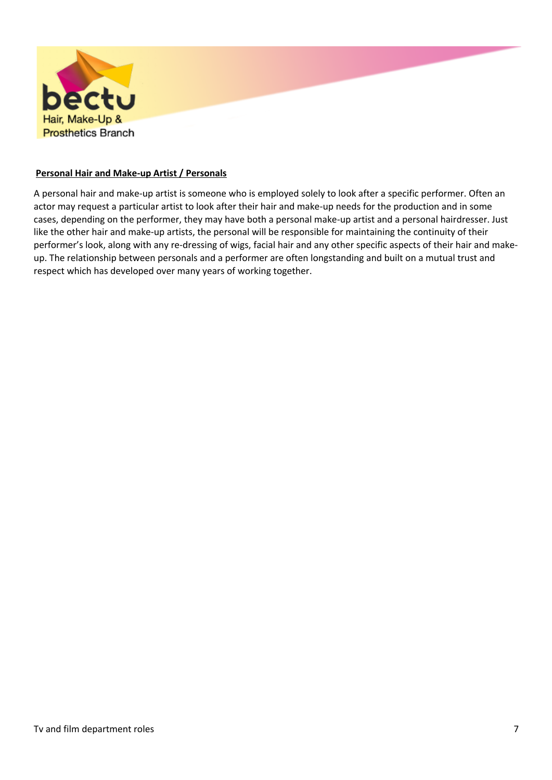

### **Personal Hair and Make-up Artist / Personals**

A personal hair and make-up artist is someone who is employed solely to look after a specific performer. Often an actor may request a particular artist to look after their hair and make-up needs for the production and in some cases, depending on the performer, they may have both a personal make-up artist and a personal hairdresser. Just like the other hair and make-up artists, the personal will be responsible for maintaining the continuity of their performer's look, along with any re-dressing of wigs, facial hair and any other specific aspects of their hair and makeup. The relationship between personals and a performer are often longstanding and built on a mutual trust and respect which has developed over many years of working together.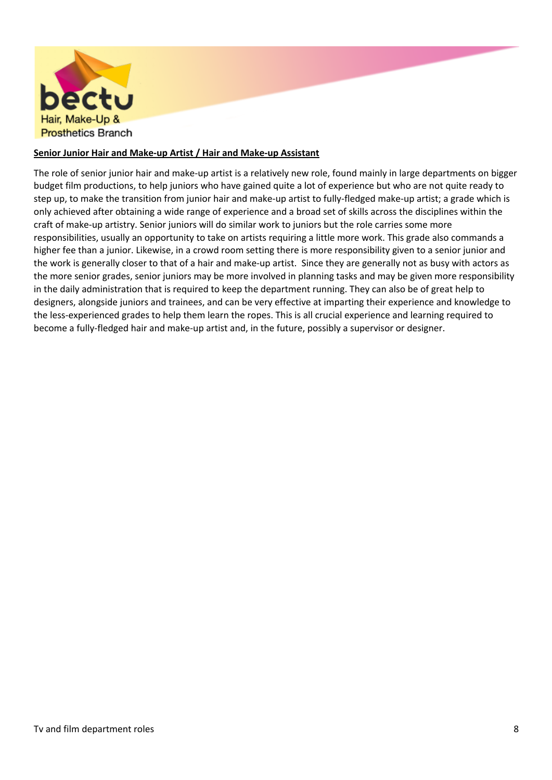

# **Senior Junior Hair and Make-up Artist / Hair and Make-up Assistant**

The role of senior junior hair and make-up artist is a relatively new role, found mainly in large departments on bigger budget film productions, to help juniors who have gained quite a lot of experience but who are not quite ready to step up, to make the transition from junior hair and make-up artist to fully-fledged make-up artist; a grade which is only achieved after obtaining a wide range of experience and a broad set of skills across the disciplines within the craft of make-up artistry. Senior juniors will do similar work to juniors but the role carries some more responsibilities, usually an opportunity to take on artists requiring a little more work. This grade also commands a higher fee than a junior. Likewise, in a crowd room setting there is more responsibility given to a senior junior and the work is generally closer to that of a hair and make-up artist. Since they are generally not as busy with actors as the more senior grades, senior juniors may be more involved in planning tasks and may be given more responsibility in the daily administration that is required to keep the department running. They can also be of great help to designers, alongside juniors and trainees, and can be very effective at imparting their experience and knowledge to the less-experienced grades to help them learn the ropes. This is all crucial experience and learning required to become a fully-fledged hair and make-up artist and, in the future, possibly a supervisor or designer.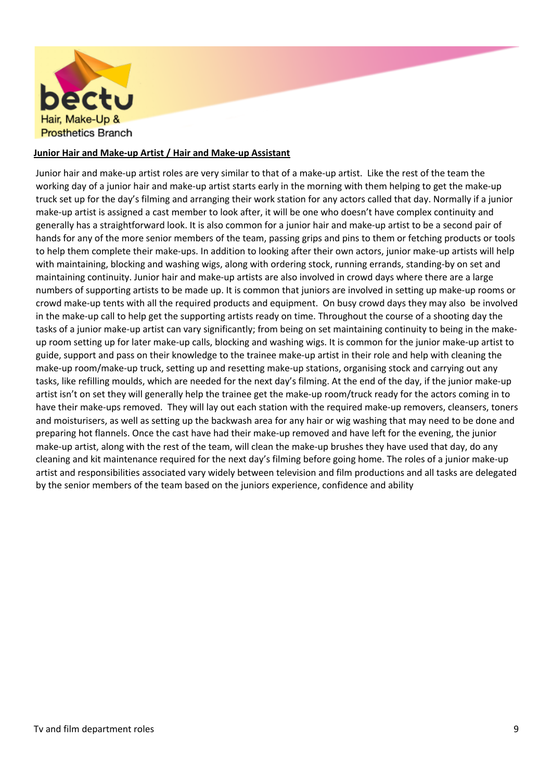

## **Junior Hair and Make-up Artist / Hair and Make-up Assistant**

Junior hair and make-up artist roles are very similar to that of a make-up artist. Like the rest of the team the working day of a junior hair and make-up artist starts early in the morning with them helping to get the make-up truck set up for the day's filming and arranging their work station for any actors called that day. Normally if a junior make-up artist is assigned a cast member to look after, it will be one who doesn't have complex continuity and generally has a straightforward look. It is also common for a junior hair and make-up artist to be a second pair of hands for any of the more senior members of the team, passing grips and pins to them or fetching products or tools to help them complete their make-ups. In addition to looking after their own actors, junior make-up artists will help with maintaining, blocking and washing wigs, along with ordering stock, running errands, standing-by on set and maintaining continuity. Junior hair and make-up artists are also involved in crowd days where there are a large numbers of supporting artists to be made up. It is common that juniors are involved in setting up make-up rooms or crowd make-up tents with all the required products and equipment. On busy crowd days they may also be involved in the make-up call to help get the supporting artists ready on time. Throughout the course of a shooting day the tasks of a junior make-up artist can vary significantly; from being on set maintaining continuity to being in the makeup room setting up for later make-up calls, blocking and washing wigs. It is common for the junior make-up artist to guide, support and pass on their knowledge to the trainee make-up artist in their role and help with cleaning the make-up room/make-up truck, setting up and resetting make-up stations, organising stock and carrying out any tasks, like refilling moulds, which are needed for the next day's filming. At the end of the day, if the junior make-up artist isn't on set they will generally help the trainee get the make-up room/truck ready for the actors coming in to have their make-ups removed. They will lay out each station with the required make-up removers, cleansers, toners and moisturisers, as well as setting up the backwash area for any hair or wig washing that may need to be done and preparing hot flannels. Once the cast have had their make-up removed and have left for the evening, the junior make-up artist, along with the rest of the team, will clean the make-up brushes they have used that day, do any cleaning and kit maintenance required for the next day's filming before going home. The roles of a junior make-up artist and responsibilities associated vary widely between television and film productions and all tasks are delegated by the senior members of the team based on the juniors experience, confidence and ability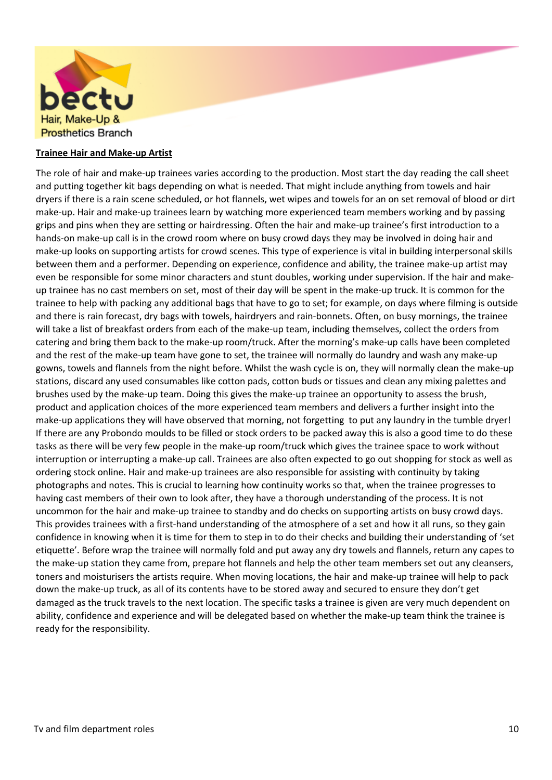

### **Trainee Hair and Make-up Artist**

The role of hair and make-up trainees varies according to the production. Most start the day reading the call sheet and putting together kit bags depending on what is needed. That might include anything from towels and hair dryers if there is a rain scene scheduled, or hot flannels, wet wipes and towels for an on set removal of blood or dirt make-up. Hair and make-up trainees learn by watching more experienced team members working and by passing grips and pins when they are setting or hairdressing. Often the hair and make-up trainee's first introduction to a hands-on make-up call is in the crowd room where on busy crowd days they may be involved in doing hair and make-up looks on supporting artists for crowd scenes. This type of experience is vital in building interpersonal skills between them and a performer. Depending on experience, confidence and ability, the trainee make-up artist may even be responsible for some minor characters and stunt doubles, working under supervision. If the hair and makeup trainee has no cast members on set, most of their day will be spent in the make-up truck. It is common for the trainee to help with packing any additional bags that have to go to set; for example, on days where filming is outside and there is rain forecast, dry bags with towels, hairdryers and rain-bonnets. Often, on busy mornings, the trainee will take a list of breakfast orders from each of the make-up team, including themselves, collect the orders from catering and bring them back to the make-up room/truck. After the morning's make-up calls have been completed and the rest of the make-up team have gone to set, the trainee will normally do laundry and wash any make-up gowns, towels and flannels from the night before. Whilst the wash cycle is on, they will normally clean the make-up stations, discard any used consumables like cotton pads, cotton buds or tissues and clean any mixing palettes and brushes used by the make-up team. Doing this gives the make-up trainee an opportunity to assess the brush, product and application choices of the more experienced team members and delivers a further insight into the make-up applications they will have observed that morning, not forgetting to put any laundry in the tumble dryer! If there are any Probondo moulds to be filled or stock orders to be packed away this is also a good time to do these tasks as there will be very few people in the make-up room/truck which gives the trainee space to work without interruption or interrupting a make-up call. Trainees are also often expected to go out shopping for stock as well as ordering stock online. Hair and make-up trainees are also responsible for assisting with continuity by taking photographs and notes. This is crucial to learning how continuity works so that, when the trainee progresses to having cast members of their own to look after, they have a thorough understanding of the process. It is not uncommon for the hair and make-up trainee to standby and do checks on supporting artists on busy crowd days. This provides trainees with a first-hand understanding of the atmosphere of a set and how it all runs, so they gain confidence in knowing when it is time for them to step in to do their checks and building their understanding of 'set etiquette'. Before wrap the trainee will normally fold and put away any dry towels and flannels, return any capes to the make-up station they came from, prepare hot flannels and help the other team members set out any cleansers, toners and moisturisers the artists require. When moving locations, the hair and make-up trainee will help to pack down the make-up truck, as all of its contents have to be stored away and secured to ensure they don't get damaged as the truck travels to the next location. The specific tasks a trainee is given are very much dependent on ability, confidence and experience and will be delegated based on whether the make-up team think the trainee is ready for the responsibility.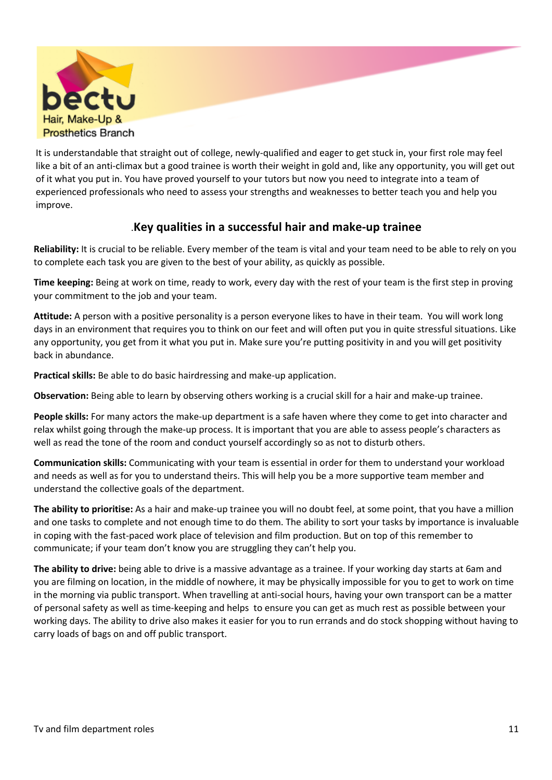

It is understandable that straight out of college, newly-qualified and eager to get stuck in, your first role may feel like a bit of an anti-climax but a good trainee is worth their weight in gold and, like any opportunity, you will get out of it what you put in. You have proved yourself to your tutors but now you need to integrate into a team of experienced professionals who need to assess your strengths and weaknesses to better teach you and help you improve.

# .**Key qualities in a successful hair and make-up trainee**

**Reliability:** It is crucial to be reliable. Every member of the team is vital and your team need to be able to rely on you to complete each task you are given to the best of your ability, as quickly as possible.

**Time keeping:** Being at work on time, ready to work, every day with the rest of your team is the first step in proving your commitment to the job and your team.

**Attitude:** A person with a positive personality is a person everyone likes to have in their team. You will work long days in an environment that requires you to think on our feet and will often put you in quite stressful situations. Like any opportunity, you get from it what you put in. Make sure you're putting positivity in and you will get positivity back in abundance.

**Practical skills:** Be able to do basic hairdressing and make-up application.

**Observation:** Being able to learn by observing others working is a crucial skill for a hair and make-up trainee.

**People skills:** For many actors the make-up department is a safe haven where they come to get into character and relax whilst going through the make-up process. It is important that you are able to assess people's characters as well as read the tone of the room and conduct yourself accordingly so as not to disturb others.

**Communication skills:** Communicating with your team is essential in order for them to understand your workload and needs as well as for you to understand theirs. This will help you be a more supportive team member and understand the collective goals of the department.

**The ability to prioritise:** As a hair and make-up trainee you will no doubt feel, at some point, that you have a million and one tasks to complete and not enough time to do them. The ability to sort your tasks by importance is invaluable in coping with the fast-paced work place of television and film production. But on top of this remember to communicate; if your team don't know you are struggling they can't help you.

**The ability to drive:** being able to drive is a massive advantage as a trainee. If your working day starts at 6am and you are filming on location, in the middle of nowhere, it may be physically impossible for you to get to work on time in the morning via public transport. When travelling at anti-social hours, having your own transport can be a matter of personal safety as well as time-keeping and helps to ensure you can get as much rest as possible between your working days. The ability to drive also makes it easier for you to run errands and do stock shopping without having to carry loads of bags on and off public transport.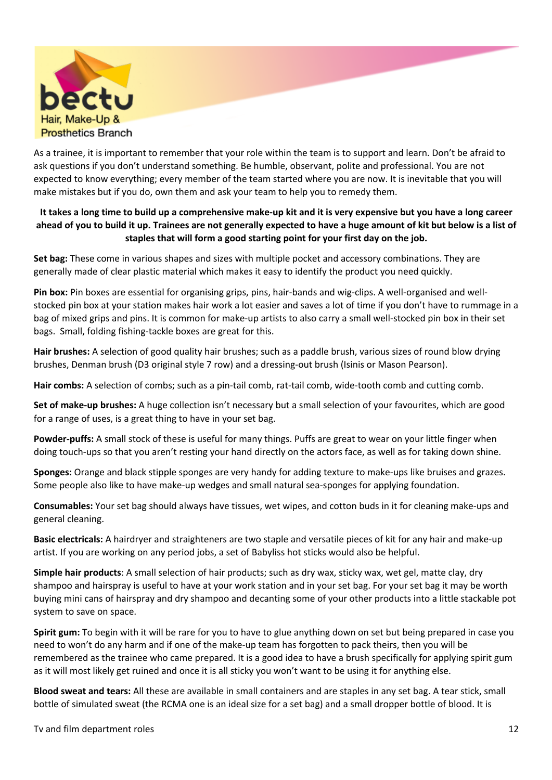

As a trainee, it is important to remember that your role within the team is to support and learn. Don't be afraid to ask questions if you don't understand something. Be humble, observant, polite and professional. You are not expected to know everything; every member of the team started where you are now. It is inevitable that you will make mistakes but if you do, own them and ask your team to help you to remedy them.

# **It takes a long time to build up a comprehensive make-up kit and it is very expensive but you have a long career ahead of you to build it up. Trainees are not generally expected to have a huge amount of kit but below is a list of staples that will form a good starting point for your first day on the job.**

**Set bag:** These come in various shapes and sizes with multiple pocket and accessory combinations. They are generally made of clear plastic material which makes it easy to identify the product you need quickly.

**Pin box:** Pin boxes are essential for organising grips, pins, hair-bands and wig-clips. A well-organised and wellstocked pin box at your station makes hair work a lot easier and saves a lot of time if you don't have to rummage in a bag of mixed grips and pins. It is common for make-up artists to also carry a small well-stocked pin box in their set bags. Small, folding fishing-tackle boxes are great for this.

**Hair brushes:** A selection of good quality hair brushes; such as a paddle brush, various sizes of round blow drying brushes, Denman brush (D3 original style 7 row) and a dressing-out brush (Isinis or Mason Pearson).

**Hair combs:** A selection of combs; such as a pin-tail comb, rat-tail comb, wide-tooth comb and cutting comb.

**Set of make-up brushes:** A huge collection isn't necessary but a small selection of your favourites, which are good for a range of uses, is a great thing to have in your set bag.

**Powder-puffs:** A small stock of these is useful for many things. Puffs are great to wear on your little finger when doing touch-ups so that you aren't resting your hand directly on the actors face, as well as for taking down shine.

**Sponges:** Orange and black stipple sponges are very handy for adding texture to make-ups like bruises and grazes. Some people also like to have make-up wedges and small natural sea-sponges for applying foundation.

**Consumables:** Your set bag should always have tissues, wet wipes, and cotton buds in it for cleaning make-ups and general cleaning.

**Basic electricals:** A hairdryer and straighteners are two staple and versatile pieces of kit for any hair and make-up artist. If you are working on any period jobs, a set of Babyliss hot sticks would also be helpful.

**Simple hair products**: A small selection of hair products; such as dry wax, sticky wax, wet gel, matte clay, dry shampoo and hairspray is useful to have at your work station and in your set bag. For your set bag it may be worth buying mini cans of hairspray and dry shampoo and decanting some of your other products into a little stackable pot system to save on space.

**Spirit gum:** To begin with it will be rare for you to have to glue anything down on set but being prepared in case you need to won't do any harm and if one of the make-up team has forgotten to pack theirs, then you will be remembered as the trainee who came prepared. It is a good idea to have a brush specifically for applying spirit gum as it will most likely get ruined and once it is all sticky you won't want to be using it for anything else.

**Blood sweat and tears:** All these are available in small containers and are staples in any set bag. A tear stick, small bottle of simulated sweat (the RCMA one is an ideal size for a set bag) and a small dropper bottle of blood. It is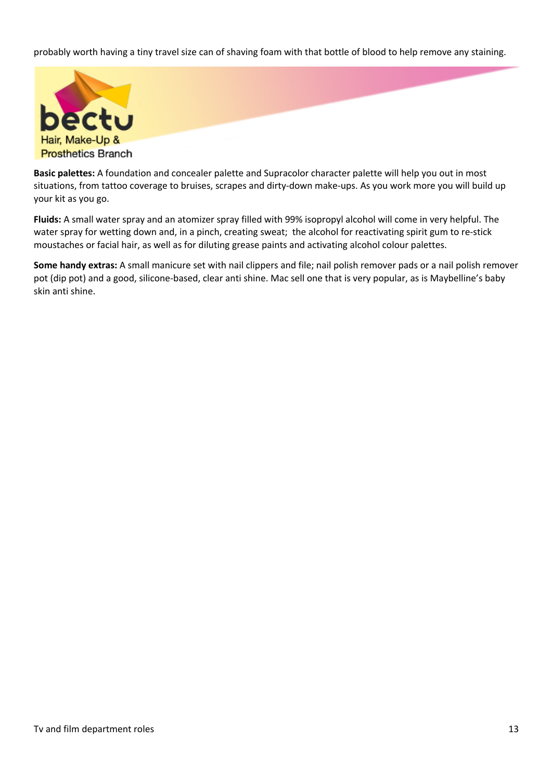probably worth having a tiny travel size can of shaving foam with that bottle of blood to help remove any staining.



**Basic palettes:** A foundation and concealer palette and Supracolor character palette will help you out in most situations, from tattoo coverage to bruises, scrapes and dirty-down make-ups. As you work more you will build up your kit as you go.

**Fluids:** A small water spray and an atomizer spray filled with 99% isopropyl alcohol will come in very helpful. The water spray for wetting down and, in a pinch, creating sweat; the alcohol for reactivating spirit gum to re-stick moustaches or facial hair, as well as for diluting grease paints and activating alcohol colour palettes.

**Some handy extras:** A small manicure set with nail clippers and file; nail polish remover pads or a nail polish remover pot (dip pot) and a good, silicone-based, clear anti shine. Mac sell one that is very popular, as is Maybelline's baby skin anti shine.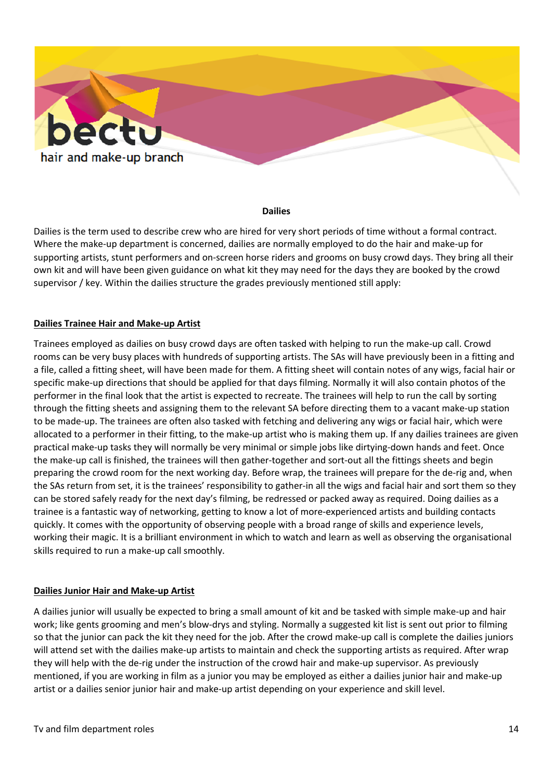

#### **Dailies**

Dailies is the term used to describe crew who are hired for very short periods of time without a formal contract. Where the make-up department is concerned, dailies are normally employed to do the hair and make-up for supporting artists, stunt performers and on-screen horse riders and grooms on busy crowd days. They bring all their own kit and will have been given guidance on what kit they may need for the days they are booked by the crowd supervisor / key. Within the dailies structure the grades previously mentioned still apply:

### **Dailies Trainee Hair and Make-up Artist**

Trainees employed as dailies on busy crowd days are often tasked with helping to run the make-up call. Crowd rooms can be very busy places with hundreds of supporting artists. The SAs will have previously been in a fitting and a file, called a fitting sheet, will have been made for them. A fitting sheet will contain notes of any wigs, facial hair or specific make-up directions that should be applied for that days filming. Normally it will also contain photos of the performer in the final look that the artist is expected to recreate. The trainees will help to run the call by sorting through the fitting sheets and assigning them to the relevant SA before directing them to a vacant make-up station to be made-up. The trainees are often also tasked with fetching and delivering any wigs or facial hair, which were allocated to a performer in their fitting, to the make-up artist who is making them up. If any dailies trainees are given practical make-up tasks they will normally be very minimal or simple jobs like dirtying-down hands and feet. Once the make-up call is finished, the trainees will then gather-together and sort-out all the fittings sheets and begin preparing the crowd room for the next working day. Before wrap, the trainees will prepare for the de-rig and, when the SAs return from set, it is the trainees' responsibility to gather-in all the wigs and facial hair and sort them so they can be stored safely ready for the next day's filming, be redressed or packed away as required. Doing dailies as a trainee is a fantastic way of networking, getting to know a lot of more-experienced artists and building contacts quickly. It comes with the opportunity of observing people with a broad range of skills and experience levels, working their magic. It is a brilliant environment in which to watch and learn as well as observing the organisational skills required to run a make-up call smoothly.

#### **Dailies Junior Hair and Make-up Artist**

A dailies junior will usually be expected to bring a small amount of kit and be tasked with simple make-up and hair work; like gents grooming and men's blow-drys and styling. Normally a suggested kit list is sent out prior to filming so that the junior can pack the kit they need for the job. After the crowd make-up call is complete the dailies juniors will attend set with the dailies make-up artists to maintain and check the supporting artists as required. After wrap they will help with the de-rig under the instruction of the crowd hair and make-up supervisor. As previously mentioned, if you are working in film as a junior you may be employed as either a dailies junior hair and make-up artist or a dailies senior junior hair and make-up artist depending on your experience and skill level.